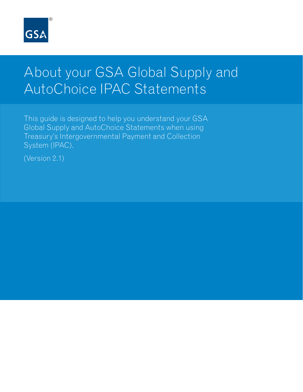

# About your GSA Global Supply and AutoChoice IPAC Statements

This guide is designed to help you understand your GSA Global Supply and AutoChoice Statements when using Treasury's Intergovernmental Payment and Collection System (IPAC).

(Version 2.1)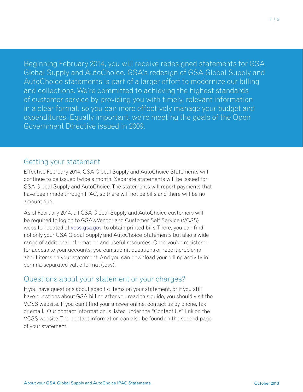Beginning February 2014, you will receive redesigned statements for GSA Global Supply and AutoChoice. GSA's redesign of GSA Global Supply and AutoChoice statements is part of a larger effort to modernize our billing and collections. We're committed to achieving the highest standards of customer service by providing you with timely, relevant information in a clear format, so you can more effectively manage your budget and expenditures. Equally important, we're meeting the goals of the Open Government Directive issued in 2009.

## Getting your statement

Effective February 2014, GSA Global Supply and AutoChoice Statements will continue to be issued twice a month. Separate statements will be issued for GSA Global Supply and AutoChoice. The statements will report payments that have been made through IPAC, so there will not be bills and there will be no amount due.

As of February 2014, all GSA Global Supply and AutoChoice customers will be required to log on to GSA's Vendor and Customer Self Service (VCSS) website, located at vcss.gsa.gov, to obtain printed bills.There, you can find not only your GSA Global Supply and AutoChoice Statements but also a wide range of additional information and useful resources. Once you've registered for access to your accounts, you can submit questions or report problems about items on your statement. And you can download your billing activity in comma-separated value format (.csv).

## Questions about your statement or your charges?

If you have questions about specific items on your statement, or if you still have questions about GSA billing after you read this guide, you should visit the VCSS website. If you can't find your answer online, contact us by phone, fax or email. Our contact information is listed under the "Contact Us" link on the VCSS website. The contact information can also be found on the second page of your statement.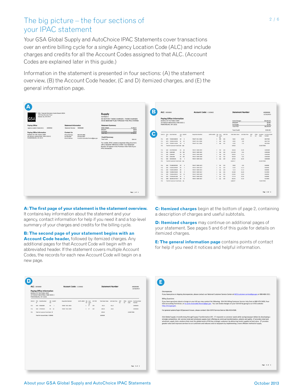## The big picture – the four sections of your IPAC statement

Your GSA Global Supply and AutoChoice IPAC Statements cover transactions over an entire billing cycle for a single Agency Location Code (ALC) and include charges and credits for all the Account Codes assigned to that ALC. (Account Codes are explained later in this guide.)

Information in the statement is presented in four sections: (A) the statement overview, (B) the Account Code header, (C and D) itemized charges, and (E) the general information page.



**A: The first page of your statement is the statement overview.**  It contains key information about the statement and your agency, contact information for help if you need it and a top-level summary of your charges and credits for the billing cycle.

**B: The second page of your statement begins with an Account Code header,** followed by itemized charges. Any additional pages for that Account Code will begin with an abbreviated header. If the statement covers multiple Account Codes, the records for each new Account Code will begin on a new page.

**C: Itemized charges** begin at the bottom of page 2, containing a description of charges and useful subtotals.

**D: Itemized charges** may continue on additional pages of your statement. See pages 5 and 6 of this guide for details on itemized charges.

**E: The general information page** contains points of contact for help if you need it notices and helpful information.

|        | <b>Paying Office Information</b><br>BUREAU OF THE PUBLIC DEBT<br>257 BOSLEY INDUSTRIAL PARK DOCK 2 |                             |                           | Account Code: C-203402 | <b>Statement Number</b> |                             |         | M0000486<br>12/16/2013   |                 |            |                   |             |                                   |
|--------|----------------------------------------------------------------------------------------------------|-----------------------------|---------------------------|------------------------|-------------------------|-----------------------------|---------|--------------------------|-----------------|------------|-------------------|-------------|-----------------------------------|
|        | PARKERSBURG, WV 26101                                                                              |                             |                           |                        |                         |                             |         |                          |                 |            |                   |             |                                   |
| DOC ID | RTG Stock Number<br>10                                                                             | UN QUANT<br>ISS             | <b>Requisition Number</b> | SUPPLADOR SIG Cust     |                         | CD Fund                     | SHP DTE | <b>Total Sales Value</b> | Unit Sale Price | DIST<br>CD | PROJ.<br>$\infty$ | Code        | Location Purchase Order<br>Number |
| FC1    | GSO BSN62889                                                                                       | <b>EA</b><br>$\overline{1}$ | 709/AT 3011 8921          |                        | $\epsilon$              | $_{\rm CO}$<br>$\mathbf{S}$ | 329     | 45.22                    | 45.22           |            |                   |             | G3KD5025                          |
| FC1    | GSO DYM30320                                                                                       | BX 10                       | 709/AT 3011 8940          |                        | $C = SF$                |                             | 329     | 180.20                   | 18.02           |            |                   |             | G3K05025                          |
| FS1    | Total for Customer Fund Code: SF                                                                   |                             |                           |                        |                         |                             |         | 225.42                   |                 |            |                   | 2 UNE ITEMS |                                   |
|        | Total for Account Code: C-203402                                                                   |                             |                           |                        |                         |                             |         | 8,363.68                 |                 |            |                   |             |                                   |
|        |                                                                                                    |                             |                           |                        |                         |                             |         |                          |                 |            |                   |             |                                   |
|        |                                                                                                    |                             |                           |                        |                         |                             |         |                          |                 |            |                   |             |                                   |
|        |                                                                                                    |                             |                           |                        |                         |                             |         |                          |                 |            |                   |             |                                   |
|        |                                                                                                    |                             |                           |                        |                         |                             |         |                          |                 |            |                   |             |                                   |
|        |                                                                                                    |                             |                           |                        |                         |                             |         |                          |                 |            |                   |             |                                   |
|        |                                                                                                    |                             |                           |                        |                         |                             |         |                          |                 |            |                   |             |                                   |
|        |                                                                                                    |                             |                           |                        |                         |                             |         |                          |                 |            |                   |             |                                   |
|        |                                                                                                    |                             |                           |                        |                         |                             |         |                          |                 |            |                   |             |                                   |
|        |                                                                                                    |                             |                           |                        |                         |                             |         |                          |                 |            |                   |             |                                   |
|        |                                                                                                    |                             |                           |                        |                         |                             |         |                          |                 |            |                   |             |                                   |
|        |                                                                                                    |                             |                           |                        |                         |                             |         |                          |                 |            |                   |             |                                   |
|        |                                                                                                    |                             |                           |                        |                         |                             |         |                          |                 |            |                   |             |                                   |
|        |                                                                                                    |                             |                           |                        |                         |                             |         |                          |                 |            |                   |             |                                   |

| <b>Discrepancies</b>                                                                                                                                                                                                                                                                                                                                                                                                                                                                                                                                                                                            |  |
|-----------------------------------------------------------------------------------------------------------------------------------------------------------------------------------------------------------------------------------------------------------------------------------------------------------------------------------------------------------------------------------------------------------------------------------------------------------------------------------------------------------------------------------------------------------------------------------------------------------------|--|
| If you have price or shipping discrepancies, please contact our National Customer Service Center at NCSCcustomer service@gsa.gov or 800-488-3111.                                                                                                                                                                                                                                                                                                                                                                                                                                                               |  |
| <b>Billing Questions</b>                                                                                                                                                                                                                                                                                                                                                                                                                                                                                                                                                                                        |  |
| If you have questions about a charge on your bill you may contact the following: GSA FAS Billing Customer Service Help Desk at 800-676-3690, Your<br>GSA Accounting Technician, or kc-accts-receivable.finance@gsa.gov. You can review charges on your GSA bill by going to our VCSS website:<br>http://vcss.gsa.gov.                                                                                                                                                                                                                                                                                           |  |
| For general system/login ID/password issues, please contact: GSA OCFO Service Desk at 866-450-6588.                                                                                                                                                                                                                                                                                                                                                                                                                                                                                                             |  |
|                                                                                                                                                                                                                                                                                                                                                                                                                                                                                                                                                                                                                 |  |
| GSA Global Supply is transforming through Supply Transformation (ST). ST responds to customer needs while saving taxpayer dollars by developing a<br>strongly competitive, full- service retail and wholesale supply chain offering via continual transformation, velocity and agility. ST provides retail and<br>wholesale supply chain solutions that meet the global needs of FAS key strategic customers by delivering timely supplies at best value. ST provides<br>greater value and improves services to our customers and reduces costs to taxpayers by implementing a more efficient method of supply. |  |
|                                                                                                                                                                                                                                                                                                                                                                                                                                                                                                                                                                                                                 |  |
|                                                                                                                                                                                                                                                                                                                                                                                                                                                                                                                                                                                                                 |  |
|                                                                                                                                                                                                                                                                                                                                                                                                                                                                                                                                                                                                                 |  |
|                                                                                                                                                                                                                                                                                                                                                                                                                                                                                                                                                                                                                 |  |
|                                                                                                                                                                                                                                                                                                                                                                                                                                                                                                                                                                                                                 |  |
|                                                                                                                                                                                                                                                                                                                                                                                                                                                                                                                                                                                                                 |  |
|                                                                                                                                                                                                                                                                                                                                                                                                                                                                                                                                                                                                                 |  |
|                                                                                                                                                                                                                                                                                                                                                                                                                                                                                                                                                                                                                 |  |
|                                                                                                                                                                                                                                                                                                                                                                                                                                                                                                                                                                                                                 |  |
|                                                                                                                                                                                                                                                                                                                                                                                                                                                                                                                                                                                                                 |  |
|                                                                                                                                                                                                                                                                                                                                                                                                                                                                                                                                                                                                                 |  |
|                                                                                                                                                                                                                                                                                                                                                                                                                                                                                                                                                                                                                 |  |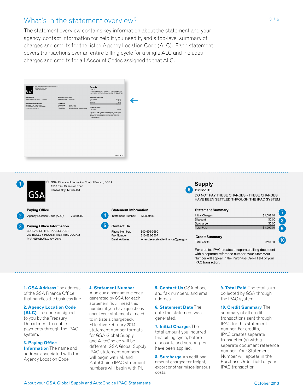## What's in the statement overview?

The statement overview contains key information about the statement and your agency, contact information for help if you need it, and a top-level summary of charges and credits for the listed Agency Location Code (ALC). Each statement covers transactions over an entire billing cycle for a single ALC and includes charges and credits for all Account Codes assigned to that ALC.





GSA: Financial Information Control Branch, BCEA 1500 East Bannister Road Kansas City, MO 64131

**Paying Office** 

Agency Location Code (ALC): 20050002

257 BOSLEY INDUSTRIAL PARK DOCK 2

**Paying Office Information** BURFAU OF THE PUBLIC DEBT

PARKERSBURG, WV 26101

**Statement Information** Statement Number: M0000486



Phone Number: Fax Number: Email Address:

800-676-3690 816-823-5507 kc-accts-receivable.finance@gsa.gov

## **Supply** 6 12/16/2013

DO NOT PAY THESE CHARGES - THESE CHARGES HAVE BEEN SETTLED THROUGH THE IPAC SYSTEM

### **Statement Summary**

| \$1,592.01<br>\$0.00 |
|----------------------|
|                      |
|                      |
| \$0.00               |
| \$1,592.01           |
|                      |

**Total Credit** 

\$250.00

(10

For credits, IPAC creates a separate billing document with a separate reference number. Your Statement Number will appear in the Purchase Order field of your IPAC transaction.

**1. GSA Address** The address of the GSA Finance Office that handles the business line.

### **2. Agency Location Code**

**(ALC)** The code assigned to you by the Treasury Department to enable payments through the IPAC system.

**3. Paying Office** 

**Information** The name and address associated with the Agency Location Code.

### **4. Statement Number**

A unique alphanumeric code generated by GSA for each statement. You'll need this number if you have questions about your statement or need to initiate a chargeback. Effective February 2014 statement number formats for GSA Global Supply and AutoChoice will be different. GSA Global Supply IPAC statement numbers will begin with M, and AutoChoice IPAC statement numbers will begin with PI.

**5. Contact Us** GSA phone and fax numbers, and email address.

**6. Statement Date** The date the statement was generated.

**7. Initial Charges** The total amount you incurred this billing cycle, before discounts and surcharges have been applied.

**8. Surcharge** An additional amount charged for freight, export or other miscellaneous costs.

**9. Total Paid** The total sum collected by GSA through the IPAC system.

**10. Credit Summary** The summary of all credit transactions sent through IPAC for this statement number. For credits, IPAC creates separate transaction(s) with a separate document reference number. Your Statement Number will appear in the Purchase Order field of your IPAC transaction.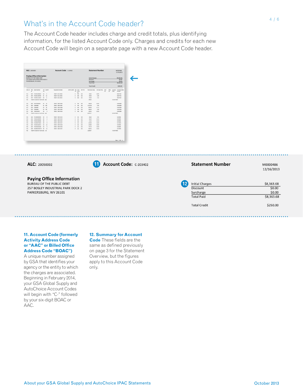## What's in the Account Code header?

The Account Code header includes charge and credit totals, plus identifying information, for the listed Account Code only. Charges and credits for each new Account Code will begin on a separate page with a new Account Code header.

Page 2 of 4

Account Code: C-203402

| ALC: 20050002      |                 |                                                                                                                             |            |                           | Account Code: 0.203402 |           |                 |                                        |         |                     | <b>Statement Number</b>                                              |                 |            |                            |                                               |  |  |
|--------------------|-----------------|-----------------------------------------------------------------------------------------------------------------------------|------------|---------------------------|------------------------|-----------|-----------------|----------------------------------------|---------|---------------------|----------------------------------------------------------------------|-----------------|------------|----------------------------|-----------------------------------------------|--|--|
|                    |                 | <b>Paving Office Information</b><br>BUREAU OF THE PUBLIC DEBT<br>257 BOSLEY INDUSTRIAL PARK DOCK 2<br>PARKERSBURG. WV 26101 |            |                           |                        |           |                 |                                        |         |                     | <b>Initial Charges</b><br>Discount<br>Surcharge<br><b>Total Paid</b> |                 |            |                            | \$8,5363.68<br>\$0.00<br>\$0.00<br>\$8,363,68 |  |  |
|                    |                 |                                                                                                                             |            |                           |                        |           |                 |                                        |         | <b>Total Credit</b> |                                                                      |                 |            |                            | \$250.00                                      |  |  |
| DOC ID             | <b>RTG</b><br>m | Shock Marchael                                                                                                              | <b>ISS</b> | UN OUANT                  | Requisition Number     | SUPPLADOR | sss<br>$\omega$ | <b>Cust</b><br><b>Fund</b><br>$\infty$ | SHP DTE | Tetal Sales Value   | Linit Sale Price                                                     | <b>DKS</b><br>m | PROJ<br>cn | Location<br>Code           | <b>Purchase Online</b><br>Number              |  |  |
| FC1                | GRO.            | 7520015646054                                                                                                               | OZ         | $\mathbf{1}$              | 70934T 3011 8926       |           | c               | MD                                     | 326     | 56.82               | 18.94                                                                |                 |            |                            | BJE3756N                                      |  |  |
| FC1                |                 | GPO 2520015195269                                                                                                           | SE.        | 30                        | <b>209AT 3011 8930</b> |           | ċ               | MD                                     | 326     | 49.90               | 4.99                                                                 |                 |            |                            | <b>BELTZIN</b>                                |  |  |
| $f \in \mathbb{I}$ |                 | GPO 7520015114324                                                                                                           | OZ         | ×.                        | 709MT 3011 8934        |           | c               | MD.                                    | 325     | 42.90               | 7.15                                                                 |                 |            |                            | BJE3783N                                      |  |  |
| 551                |                 | Total for Customer Fund Code: MD                                                                                            |            |                           |                        |           |                 |                                        |         | 149.62              |                                                                      |                 |            | <b><i>A LINE ITEMS</i></b> |                                               |  |  |
| FC1                | cra.            | AAG70950GOS                                                                                                                 | EA         | 38                        | 709417 3009 8404       |           | c.              | wa                                     | 329     | 296.28              | 36.46                                                                |                 |            |                            | GTERSSA                                       |  |  |
| FC1                | 650             | G3844889                                                                                                                    |            | EA 350                    | 709417 3009 8407       |           | c               | <b>YES</b>                             | 326     | 3,311.00            | 9.46                                                                 |                 |            |                            | G3603083                                      |  |  |
| FC1                | d/a             | <b>GRAAKEY</b>                                                                                                              | FA         | 60                        | 209417 3009 8408       |           | c               | <b>WA</b>                              | 326     | 666.60              | 11.11                                                                |                 |            |                            | <b>GREDDAY</b>                                |  |  |
| FC1                | csa             | GMAAREE                                                                                                                     | EA.        | 100                       | 709417 3009 8409       |           | ċ               | <b>YES</b>                             | 326     | 946.00              | 9.46                                                                 |                 |            |                            | GI403083                                      |  |  |
| FC1                | csa             | <b>HEWCREARA</b>                                                                                                            | <b>SA</b>  | ٠                         | 709417 3009 8410       |           | c.              | <b>YES</b>                             | 329     | 187.65              | 63.55                                                                |                 |            |                            | GREDDAG                                       |  |  |
| 151                |                 | Total for Customer Fund Code: WA                                                                                            |            |                           |                        |           |                 |                                        |         | 6,320.17            |                                                                      |                 |            | <b>6 LINE ITEMS</b>        |                                               |  |  |
| <b>F&amp;1</b>     | 65h             | 2510002855995                                                                                                               | 02         | $\boldsymbol{\mathbf{x}}$ | 209417-3009 8423       |           | c.              | 84                                     | 329     | 39.60               | 4.95                                                                 |                 |            |                            | SEROVAR                                       |  |  |
| FA1                | GS0             | 7530013649499                                                                                                               | to:        | $\overline{\phantom{a}}$  | 709417 3009 8424       |           | c               | <b>M</b>                               | 329     | 45.30               | 15.13                                                                |                 |            |                            | SELEDGE                                       |  |  |
| FA1                | GSO             | 2530013649500                                                                                                               | ROC        | ٠                         | 709417 3009 8425       |           | c               | <b>M</b>                               | 329     | 15.13               | 15.13                                                                |                 |            |                            | SERGIVAR                                      |  |  |
| FA1                | days            | 7530002476069                                                                                                               | 6X         | $\overline{\phantom{a}}$  | 709417 3009 8427       |           | c               | M                                      | 326     | 325.80              | 36.20                                                                |                 |            |                            | N573934                                       |  |  |
| FA1                | GSD             | 7520014220315                                                                                                               | 02         | 22                        | 709417 3009 8428       |           | ċ               | <b>MA</b>                              | 326     | 233.86              | 10.63                                                                |                 |            |                            | \$434998                                      |  |  |
| <b>F&amp;1</b>     | 65h             | 2520014815368                                                                                                               | 86         | $\boldsymbol{\hat{a}}$    | 209417 3009 8430       |           | ċ               | n.c.                                   | 326     | 125.24              | 28.29                                                                |                 |            |                            | SERGHAR                                       |  |  |
| 141                |                 | CRA ASSIMINATE ORD.                                                                                                         | <b>RX</b>  | 15                        | 200417 3000 8437       |           | c.              | 0.8                                    | 126     | 832.95              | 55.53                                                                |                 |            |                            | NS23933                                       |  |  |
| 551                |                 | Total for Customer Fund Code: RA                                                                                            |            |                           |                        |           |                 |                                        |         | 1,668.47            |                                                                      |                 |            | <b>2 LINE ITEMS</b>        |                                               |  |  |

ALC: 20050002

**Paying Office Information** BUREAU OF THE PUBLIC DEBT 257 BOSLEY INDUSTRIAL PARK DOCK 2 PARKERSBURG, WV 26101

| <b>11. Account Code (formerly</b> |  |
|-----------------------------------|--|

### **Activity Address Code or "AAC" or Billed Office Address Code "BOAC")**

A unique number assigned by GSA that identifies your agency or the entity to which the charges are associated. Beginning in February 2014, your GSA Global Supply and AutoChoice Account Codes will begin with "C-" followed by your six-digit BOAC or AAC.

### **12. Summary for Account**

**Code** These fields are the same as defined previously on page 3 for the Statement Overview, but the figures apply to this Account Code only.

M0000486 12/16/2013



**Statement Number**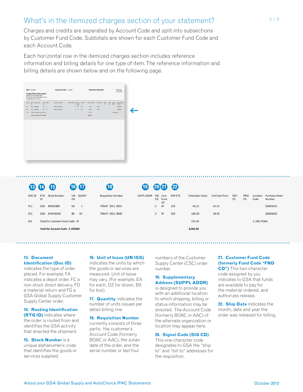## What's in the itemized charges section of your statement?

Charges and credits are separated by Account Code and split into subsections by Customer Fund Code. Subtotals are shown for each Customer Fund Code and each Account Code.

Each horizontal row in the itemized charges section includes reference information and billing details for one type of item. The reference information and billing details are shown below and on the following page.

| SUPPLADOR SIG Cust<br>SHP DTE<br>DOC ID<br><b>RTG</b> Stock Number<br>UN OUANT<br>Requisition Number<br>Tetal Sales Value<br>Unit Sale Price<br>DIST<br>PROJ<br>Location Purchase Order<br>ISS.<br>CD Fund<br>10<br>$\Omega$<br>CD<br>Code<br>Number<br>$\infty$<br>$\mathbf{c}$<br>51<br>45.22<br>45.22<br>03605025<br>fC1<br>GSO 85N62889<br><b>EA</b><br>709MT 3011 8921<br>329<br>$\mathbf{1}$<br>18.02<br>FC1<br>GSO DYM30320<br>$600 - 30$<br>709JAT 3011 8940<br>$C$ SF<br>329<br>180.20<br>225.42<br>FS1<br>Total for Customer Fund Code: SF<br>2 LINE ITEMS<br>8,363.68<br>Total for Account Code: C-203402 |          |
|----------------------------------------------------------------------------------------------------------------------------------------------------------------------------------------------------------------------------------------------------------------------------------------------------------------------------------------------------------------------------------------------------------------------------------------------------------------------------------------------------------------------------------------------------------------------------------------------------------------------|----------|
|                                                                                                                                                                                                                                                                                                                                                                                                                                                                                                                                                                                                                      |          |
|                                                                                                                                                                                                                                                                                                                                                                                                                                                                                                                                                                                                                      |          |
|                                                                                                                                                                                                                                                                                                                                                                                                                                                                                                                                                                                                                      | G3K05025 |
|                                                                                                                                                                                                                                                                                                                                                                                                                                                                                                                                                                                                                      |          |
|                                                                                                                                                                                                                                                                                                                                                                                                                                                                                                                                                                                                                      |          |
|                                                                                                                                                                                                                                                                                                                                                                                                                                                                                                                                                                                                                      |          |

## **13 14 15 16 17 18 19 20 21 22**

 $\overline{\mathsf{H}}$ DOC ID  $RTG$ **Stock Number QUANT ISS** FC1 GSO BSN62889 EA  $\overline{1}$ FC1 GSO DYM30320 10 BX FS1 Total for Customer Fund Code: SF Total for Account Code: C-203402

## **Requisition Number** 709JAT 3011 8921 709JAT 3011 8940

| SUPPL ADDR |     |                        | SHP DTE | <b>Total Sales Value</b> | Unit Sale Price | <b>DIST</b> | PROJ |                  | Purchase Order |
|------------|-----|------------------------|---------|--------------------------|-----------------|-------------|------|------------------|----------------|
|            | CD. | SIG Cust<br>Fund<br>CD |         |                          |                 | CD          | CD   | Location<br>Code | Number         |
|            | C   | <b>SF</b>              | 329     | 45.22                    | 45.22           |             |      |                  | G3K05025       |
|            | C   | <b>SF</b>              | 329     | 180.20                   | 18.02           |             |      |                  | G3K05025       |
|            |     |                        |         | 225.42                   |                 |             |      | 2 LINE ITEMS     |                |
|            |     |                        |         | 8,363.68                 |                 |             |      |                  |                |

### **13. Document Identification (Doc ID)**

indicates the type of order placed. For example, FA indicates a depot order, FC a non-stock direct delivery, FD a material return and FG a GSA Global Supply Customer Supply Center order.

### **14. Routing Identification (RTG ID)** indicates where

the order is routed from and identifies the GSA activity that directed the shipment.

**15. Stock Number** is a unique alphanumeric code that identifies the goods or services supplied.

### **16. Unit of Issue (UN ISS)**

indicates the units by which the goods or services are measured. Unit of Issue may vary. (For example, EA for each, DZ for dozen, BX for box).

**17. Quantity** indicates the number of units issued per detail billing line.

### **18. Requisition Number**

currently consists of three parts: the customer's Account Code (formerly BOAC or AAC), the Julian date of the order, and the serial number or last four

numbers of the Customer Supply Center (CSC) order number.

### **19. Supplementary Address (SUPPL ADDR)**

is designed to provide you with an additional location to which shipping, billing or status information may be directed. The Account Code (formerly BOAC or AAC) of the alternate organization or location may appear here.

### **20. Signal Code (SIG CD)**

This one-character code designates to GSA the "ship to" and "bill to" addresses for the requisition.

### **21. Customer Fund Code (formerly Fund Code "FND**

**CD")** This two-character code assigned by you indicates to GSA that funds are available to pay for the material ordered, and authorizes release.

**22. Ship Date** indicates the month, date and year the order was released for billing.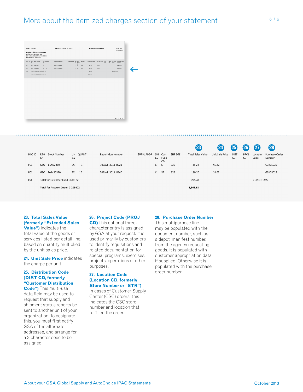|        |                  |                                  |            |               |                           |                   |              |              |         | $\left( 23\right)$       | 24                     | $\left 25\right $ | (26)       | 27                  | (28)                     |
|--------|------------------|----------------------------------|------------|---------------|---------------------------|-------------------|--------------|--------------|---------|--------------------------|------------------------|-------------------|------------|---------------------|--------------------------|
| DOC ID | <b>RTG</b><br>ID | <b>Stock Number</b>              | <b>ISS</b> | UN QUANT      | <b>Requisition Number</b> | <b>SUPPL ADDR</b> | SIG<br>CD.   | Cust<br>Fund | SHP DTE | <b>Total Sales Value</b> | <b>Unit Sale Price</b> | <b>DIST</b><br>CD | PROJ<br>CD | Location<br>Code    | Purchase Order<br>Number |
|        |                  |                                  |            |               |                           |                   |              | CD           |         |                          |                        |                   |            |                     |                          |
| FC1    | GSO              | BSN62889                         | EA         | $\frac{1}{2}$ | 709JAT 3011 8921          |                   | $\mathsf{C}$ | <b>SF</b>    | 329     | 45.22                    | 45.22                  |                   |            |                     | G3K05025                 |
| FC1    | GSO              | DYM30320                         | <b>BX</b>  | 10            | 709JAT 3011 8940          |                   | $\mathsf{C}$ | <b>SF</b>    | 329     | 180.20                   | 18.02                  |                   |            |                     | G3K05025                 |
| FS1    |                  | Total for Customer Fund Code: SF |            |               |                           |                   |              |              |         | 225.42                   |                        |                   |            | <b>2 LINE ITEMS</b> |                          |
|        |                  | Total for Account Code: C-203402 |            |               |                           |                   |              |              |         | 8,363.68                 |                        |                   |            |                     |                          |

### **23. Total Sales Value (formerly "Extended Sales**

**Value")** indicates the total value of the goods or services listed per detail line, based on quantity multiplied by the unit sales price.

**24. Unit Sale Price** indicates the charge per unit.

### **25. Distribution Code (DIST CD, formerly "Customer Distribution**

**Code")** This multi-use data field may be used to request that supply and shipment status reports be sent to another unit of your organization. To designate this, you must first notify GSA of the alternate addressee, and arrange for a 3-character code to be assigned.

### **26. Project Code (PROJ**

**CD)** This optional threecharacter entry is assigned by GSA at your request. It is used primarily by customers to identify requisitions and related documentation for special programs, exercises, projects, operations or other purposes.

### **27. Location Code (Location CD, formerly Store Number or "STR")**

In cases of Customer Supply Center (CSC) orders, this indicates the CSC store number and location that fulfilled the order.

### **28. Purchase Order Number**

This multipurpose line may be populated with the document number, such as a depot manifest number, from the agency requesting goods. It is populated with customer appropriation data, if supplied. Otherwise it is populated with the purchase order number.